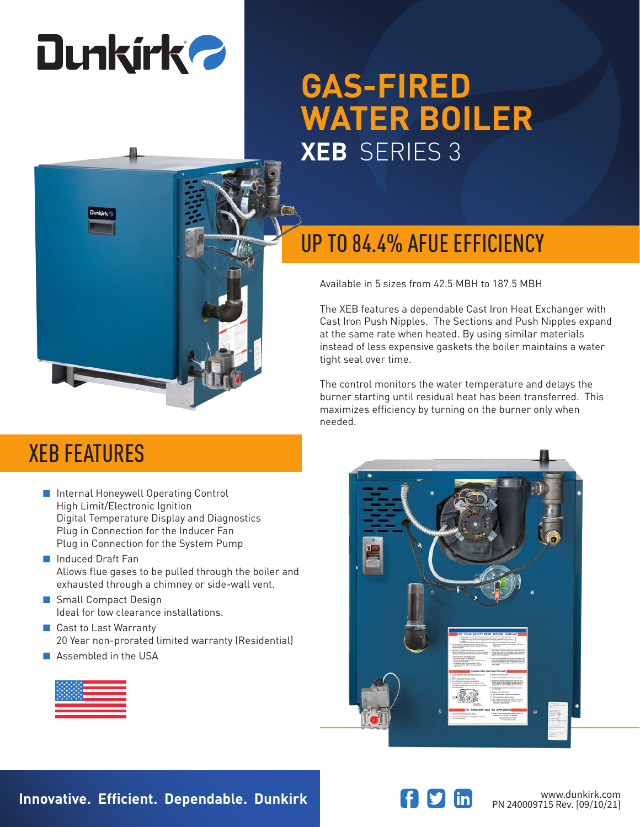# **Dunkirk 2**

## **GAS-FIRED WATER BOILER XEB** SERIES 3



#### UP TO 84.4% AFUE EFFICIENCY

Available in 5 sizes from 42.5 MBH to 187.5 MBH

The XEB features a dependable Cast Iron Heat Exchanger with Cast Iron Push Nipples. The Sections and Push Nipples expand at the same rate when heated. By using similar materials instead of less expensive gaskets the boiler maintains a water tight seal over time.

The control monitors the water temperature and delays the burner starting until residual heat has been transferred. This maximizes efficiency by turning on the burner only when needed.



#### XEB FEATURES

- Internal Honeywell Operating Control High Limit/Electronic Ignition Digital Temperature Display and Diagnostics Plug in Connection for the Inducer Fan Plug in Connection for the System Pump
- Induced Draft Fan Allows flue gases to be pulled through the boiler and exhausted through a chimney or side-wall vent.
- Small Compact Design Ideal for low clearance installations.
- Cast to Last Warranty 20 Year non-prorated limited warranty (Residential)
- Assembled in the USA